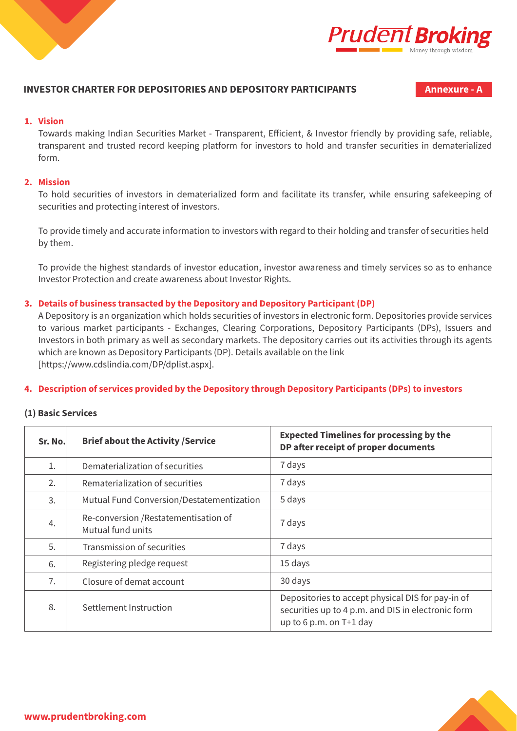



## **INVESTOR CHARTER FOR DEPOSITORIES AND DEPOSITORY PARTICIPANTS Annexure - A**

#### **1. Vision**

Towards making Indian Securities Market - Transparent, Efficient, & Investor friendly by providing safe, reliable, transparent and trusted record keeping platform for investors to hold and transfer securities in dematerialized form.

#### **2. Mission**

To hold securities of investors in dematerialized form and facilitate its transfer, while ensuring safekeeping of securities and protecting interest of investors.

 To provide timely and accurate information to investors with regard to their holding and transfer of securities held by them.

To provide the highest standards of investor education, investor awareness and timely services so as to enhance Investor Protection and create awareness about Investor Rights.

#### **3. Details of business transacted by the Depository and Depository Participant (DP)**

A Depository is an organization which holds securities of investors in electronic form. Depositories provide services to various market participants - Exchanges, Clearing Corporations, Depository Participants (DPs), Issuers and Investors in both primary as well as secondary markets. The depository carries out its activities through its agents which are known as Depository Participants (DP). Details available on the link [https://www.cdslindia.com/DP/dplist.aspx].

#### **4. Description of services provided by the Depository through Depository Participants (DPs) to investors**

#### **(1) Basic Services**

| Sr. No. | <b>Brief about the Activity /Service</b>                   | <b>Expected Timelines for processing by the</b><br>DP after receipt of proper documents                                            |
|---------|------------------------------------------------------------|------------------------------------------------------------------------------------------------------------------------------------|
| 1.      | Dematerialization of securities                            | 7 days                                                                                                                             |
| 2.      | Rematerialization of securities                            | 7 days                                                                                                                             |
| 3.      | Mutual Fund Conversion/Destatementization                  | 5 days                                                                                                                             |
| 4.      | Re-conversion / Restatementisation of<br>Mutual fund units | 7 days                                                                                                                             |
| 5.      | Transmission of securities                                 | 7 days                                                                                                                             |
| 6.      | Registering pledge request                                 | 15 days                                                                                                                            |
| 7.      | Closure of demat account                                   | 30 days                                                                                                                            |
| 8.      | Settlement Instruction                                     | Depositories to accept physical DIS for pay-in of<br>securities up to 4 p.m. and DIS in electronic form<br>up to 6 p.m. on T+1 day |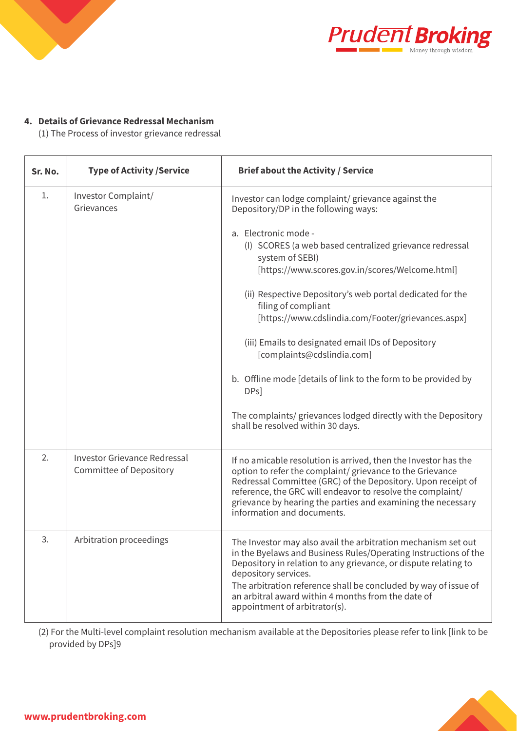



# **4. Details of Grievance Redressal Mechanism**

(1) The Process of investor grievance redressal

| Sr. No. | <b>Type of Activity / Service</b>                                     | <b>Brief about the Activity / Service</b>                                                                                                                                                                                                                                                                                                                                                                                                                                                                                                                                                                                                                           |
|---------|-----------------------------------------------------------------------|---------------------------------------------------------------------------------------------------------------------------------------------------------------------------------------------------------------------------------------------------------------------------------------------------------------------------------------------------------------------------------------------------------------------------------------------------------------------------------------------------------------------------------------------------------------------------------------------------------------------------------------------------------------------|
| 1.      | Investor Complaint/<br>Grievances                                     | Investor can lodge complaint/ grievance against the<br>Depository/DP in the following ways:<br>a. Electronic mode -<br>(I) SCORES (a web based centralized grievance redressal<br>system of SEBI)<br>[https://www.scores.gov.in/scores/Welcome.html]<br>(ii) Respective Depository's web portal dedicated for the<br>filing of compliant<br>[https://www.cdslindia.com/Footer/grievances.aspx]<br>(iii) Emails to designated email IDs of Depository<br>[complaints@cdslindia.com]<br>b. Offline mode [details of link to the form to be provided by<br>DPs]<br>The complaints/ grievances lodged directly with the Depository<br>shall be resolved within 30 days. |
| 2.      | <b>Investor Grievance Redressal</b><br><b>Committee of Depository</b> | If no amicable resolution is arrived, then the Investor has the<br>option to refer the complaint/ grievance to the Grievance<br>Redressal Committee (GRC) of the Depository. Upon receipt of<br>reference, the GRC will endeavor to resolve the complaint/<br>grievance by hearing the parties and examining the necessary<br>information and documents.                                                                                                                                                                                                                                                                                                            |
| 3.      | Arbitration proceedings                                               | The Investor may also avail the arbitration mechanism set out<br>in the Byelaws and Business Rules/Operating Instructions of the<br>Depository in relation to any grievance, or dispute relating to<br>depository services.<br>The arbitration reference shall be concluded by way of issue of<br>an arbitral award within 4 months from the date of<br>appointment of arbitrator(s).                                                                                                                                                                                                                                                                               |

(2) For the Multi-level complaint resolution mechanism available at the Depositories please refer to link [link to be provided by DPs]9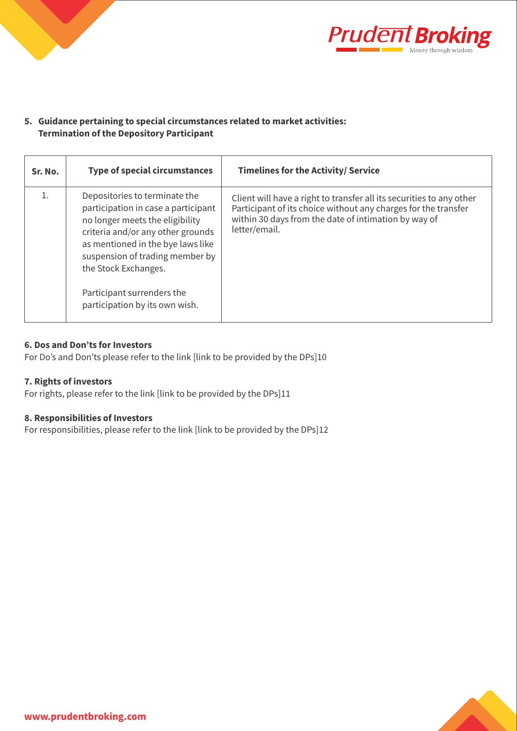



## **5. Guidance pertaining to special circumstances related to market activities: Termination of the Depository Participant**

| Sr. No. | <b>Type of special circumstances</b>                                                                                                                                                                                                         | <b>Timelines for the Activity/ Service</b>                                                                                                                                                                      |
|---------|----------------------------------------------------------------------------------------------------------------------------------------------------------------------------------------------------------------------------------------------|-----------------------------------------------------------------------------------------------------------------------------------------------------------------------------------------------------------------|
|         | Depositories to terminate the<br>participation in case a participant<br>no longer meets the eligibility<br>criteria and/or any other grounds<br>as mentioned in the bye laws like<br>suspension of trading member by<br>the Stock Exchanges. | Client will have a right to transfer all its securities to any other<br>Participant of its choice without any charges for the transfer<br>within 30 days from the date of intimation by way of<br>letter/email. |
|         | Participant surrenders the<br>participation by its own wish.                                                                                                                                                                                 |                                                                                                                                                                                                                 |

## **6. Dos and Don'ts for Investors**

For Do's and Don'ts please refer to the link [link to be provided by the DPs]10

### **7. Rights of investors**

For rights, please refer to the link [link to be provided by the DPs]11

#### **8. Responsibilities of Investors**

For responsibilities, please refer to the link [link to be provided by the DPs]12

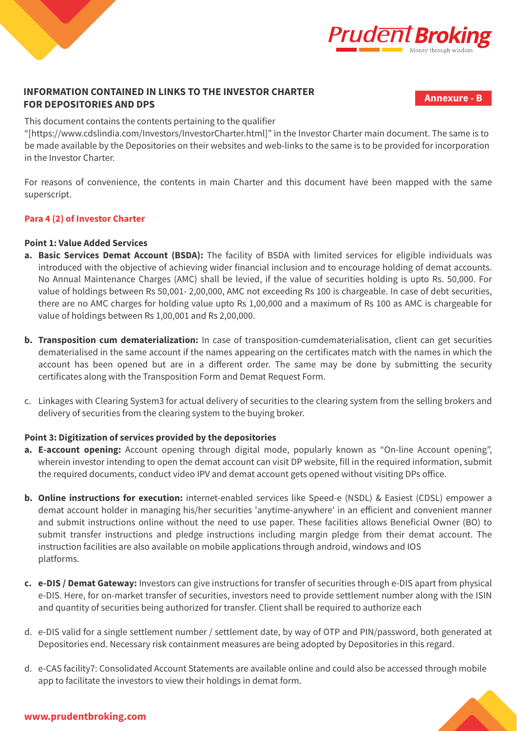



**Annexure - B**

This document contains the contents pertaining to the qualifier

"[https://www.cdslindia.com/Investors/InvestorCharter.html]" in the Investor Charter main document. The same is to be made available by the Depositories on their websites and web-links to the same is to be provided for incorporation in the Investor Charter.

For reasons of convenience, the contents in main Charter and this document have been mapped with the same superscript.

### **Para 4 (2) of Investor Charter**

## **Point 1: Value Added Services**

- **a. Basic Services Demat Account (BSDA):** The facility of BSDA with limited services for eligible individuals was introduced with the objective of achieving wider financial inclusion and to encourage holding of demat accounts. No Annual Maintenance Charges (AMC) shall be levied, if the value of securities holding is upto Rs. 50,000. For value of holdings between Rs 50,001- 2,00,000, AMC not exceeding Rs 100 is chargeable. In case of debt securities, there are no AMC charges for holding value upto Rs 1,00,000 and a maximum of Rs 100 as AMC is chargeable for value of holdings between Rs 1,00,001 and Rs 2,00,000.
- **b. Transposition cum dematerialization:** In case of transposition-cumdematerialisation, client can get securities dematerialised in the same account if the names appearing on the certificates match with the names in which the account has been opened but are in a different order. The same may be done by submitting the security certificates along with the Transposition Form and Demat Request Form.
- c. Linkages with Clearing System3 for actual delivery of securities to the clearing system from the selling brokers and delivery of securities from the clearing system to the buying broker.

## **Point 3: Digitization of services provided by the depositories**

- **a. E-account opening:** Account opening through digital mode, popularly known as "On-line Account opening", wherein investor intending to open the demat account can visit DP website, fill in the required information, submit the required documents, conduct video IPV and demat account gets opened without visiting DPs office.
- **b. Online instructions for execution:** internet-enabled services like Speed-e (NSDL) & Easiest (CDSL) empower a demat account holder in managing his/her securities 'anytime-anywhere' in an efficient and convenient manner and submit instructions online without the need to use paper. These facilities allows Beneficial Owner (BO) to submit transfer instructions and pledge instructions including margin pledge from their demat account. The instruction facilities are also available on mobile applications through android, windows and IOS platforms.
- **c. e-DIS / Demat Gateway:** Investors can give instructions for transfer of securities through e-DIS apart from physical e-DIS. Here, for on-market transfer of securities, investors need to provide settlement number along with the ISIN and quantity of securities being authorized for transfer. Client shall be required to authorize each
- d. e-DIS valid for a single settlement number / settlement date, by way of OTP and PIN/password, both generated at Depositories end. Necessary risk containment measures are being adopted by Depositories in this regard.
- d. e-CAS facility7: Consolidated Account Statements are available online and could also be accessed through mobile app to facilitate the investors to view their holdings in demat form.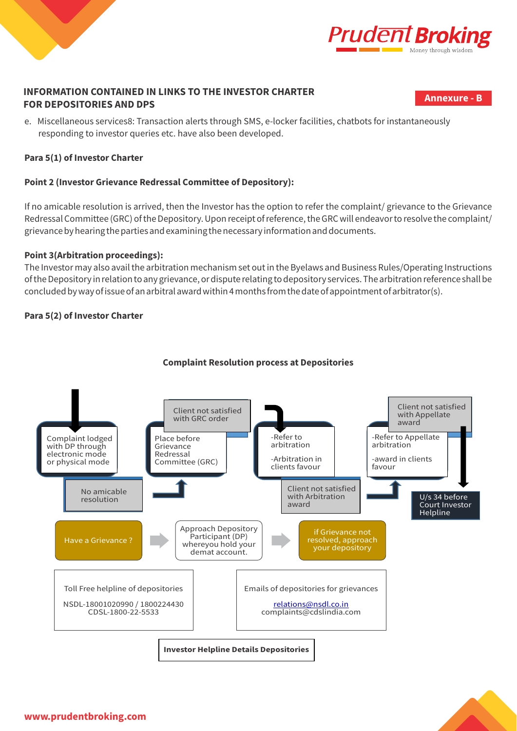



**Annexure - B**

e. Miscellaneous services8: Transaction alerts through SMS, e-locker facilities, chatbots for instantaneously responding to investor queries etc. have also been developed.

## **Para 5(1) of Investor Charter**

## **Point 2 (Investor Grievance Redressal Committee of Depository):**

If no amicable resolution is arrived, then the Investor has the option to refer the complaint/ grievance to the Grievance Redressal Committee (GRC) of the Depository. Upon receipt of reference, the GRC will endeavor to resolve the complaint/ grievance by hearing the parties and examining the necessary information and documents.

## **Point 3(Arbitration proceedings):**

The Investor may also avail the arbitration mechanism set out in the Byelaws and Business Rules/Operating Instructions of the Depository in relation to any grievance, or dispute relating to depository services. The arbitration reference shall be concluded by way of issue of an arbitral award within 4 months from the date of appointment of arbitrator(s).

## **Para 5(2) of Investor Charter**



# **Complaint Resolution process at Depositories**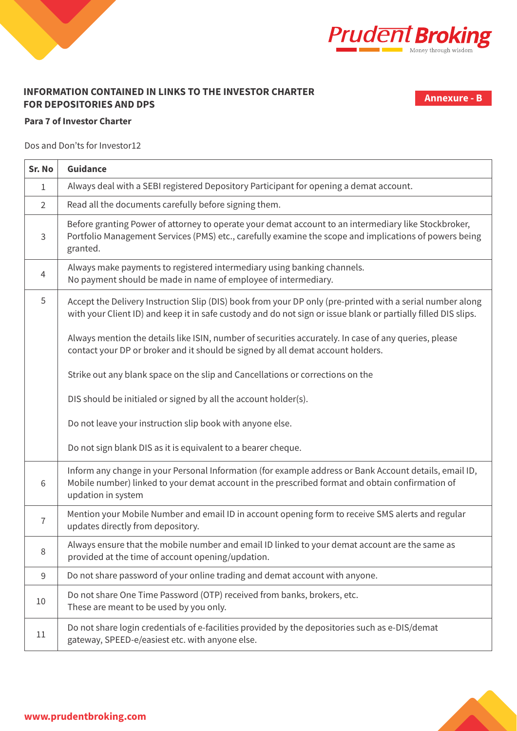



**Annexure - B**

## **Para 7 of Investor Charter**

Dos and Don'ts for Investor12

| Sr. No         | <b>Guidance</b>                                                                                                                                                                                                                 |  |  |
|----------------|---------------------------------------------------------------------------------------------------------------------------------------------------------------------------------------------------------------------------------|--|--|
| $\mathbf{1}$   | Always deal with a SEBI registered Depository Participant for opening a demat account.                                                                                                                                          |  |  |
| $\overline{2}$ | Read all the documents carefully before signing them.                                                                                                                                                                           |  |  |
| $\mathsf{3}$   | Before granting Power of attorney to operate your demat account to an intermediary like Stockbroker,<br>Portfolio Management Services (PMS) etc., carefully examine the scope and implications of powers being<br>granted.      |  |  |
| $\overline{4}$ | Always make payments to registered intermediary using banking channels.<br>No payment should be made in name of employee of intermediary.                                                                                       |  |  |
| 5              | Accept the Delivery Instruction Slip (DIS) book from your DP only (pre-printed with a serial number along<br>with your Client ID) and keep it in safe custody and do not sign or issue blank or partially filled DIS slips.     |  |  |
|                | Always mention the details like ISIN, number of securities accurately. In case of any queries, please<br>contact your DP or broker and it should be signed by all demat account holders.                                        |  |  |
|                | Strike out any blank space on the slip and Cancellations or corrections on the                                                                                                                                                  |  |  |
|                | DIS should be initialed or signed by all the account holder(s).                                                                                                                                                                 |  |  |
|                | Do not leave your instruction slip book with anyone else.                                                                                                                                                                       |  |  |
|                | Do not sign blank DIS as it is equivalent to a bearer cheque.                                                                                                                                                                   |  |  |
| 6              | Inform any change in your Personal Information (for example address or Bank Account details, email ID,<br>Mobile number) linked to your demat account in the prescribed format and obtain confirmation of<br>updation in system |  |  |
| $\overline{7}$ | Mention your Mobile Number and email ID in account opening form to receive SMS alerts and regular<br>updates directly from depository.                                                                                          |  |  |
| 8              | Always ensure that the mobile number and email ID linked to your demat account are the same as<br>provided at the time of account opening/updation.                                                                             |  |  |
| $9\,$          | Do not share password of your online trading and demat account with anyone.                                                                                                                                                     |  |  |
| 10             | Do not share One Time Password (OTP) received from banks, brokers, etc.<br>These are meant to be used by you only.                                                                                                              |  |  |
| 11             | Do not share login credentials of e-facilities provided by the depositories such as e-DIS/demat<br>gateway, SPEED-e/easiest etc. with anyone else.                                                                              |  |  |

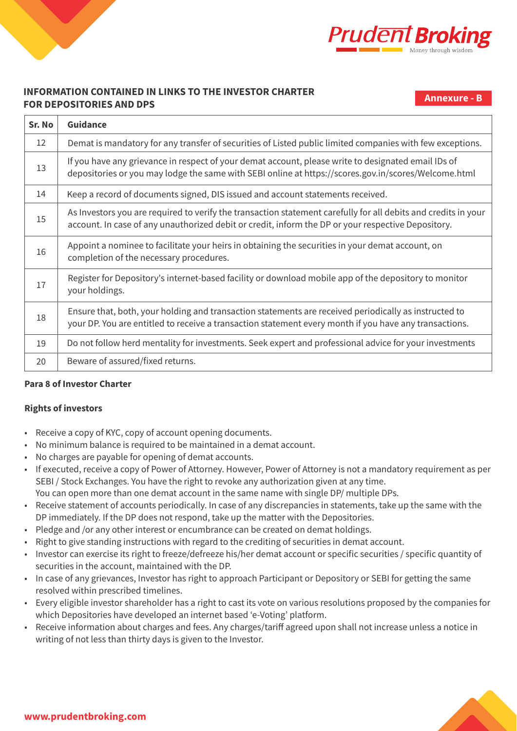



**Annexure - B**

| Sr. No | <b>Guidance</b>                                                                                                                                                                                                      |
|--------|----------------------------------------------------------------------------------------------------------------------------------------------------------------------------------------------------------------------|
| 12     | Demat is mandatory for any transfer of securities of Listed public limited companies with few exceptions.                                                                                                            |
| 13     | If you have any grievance in respect of your demat account, please write to designated email IDs of<br>depositories or you may lodge the same with SEBI online at https://scores.gov.in/scores/Welcome.html          |
| 14     | Keep a record of documents signed, DIS issued and account statements received.                                                                                                                                       |
| 15     | As Investors you are required to verify the transaction statement carefully for all debits and credits in your<br>account. In case of any unauthorized debit or credit, inform the DP or your respective Depository. |
| 16     | Appoint a nominee to facilitate your heirs in obtaining the securities in your demat account, on<br>completion of the necessary procedures.                                                                          |
| 17     | Register for Depository's internet-based facility or download mobile app of the depository to monitor<br>your holdings.                                                                                              |
| 18     | Ensure that, both, your holding and transaction statements are received periodically as instructed to<br>your DP. You are entitled to receive a transaction statement every month if you have any transactions.      |
| 19     | Do not follow herd mentality for investments. Seek expert and professional advice for your investments                                                                                                               |
| 20     | Beware of assured/fixed returns.                                                                                                                                                                                     |

## **Para 8 of Investor Charter**

## **Rights of investors**

- Receive a copy of KYC, copy of account opening documents.
- No minimum balance is required to be maintained in a demat account.
- No charges are payable for opening of demat accounts.
- If executed, receive a copy of Power of Attorney. However, Power of Attorney is not a mandatory requirement as per SEBI / Stock Exchanges. You have the right to revoke any authorization given at any time. You can open more than one demat account in the same name with single DP/ multiple DPs.
- Receive statement of accounts periodically. In case of any discrepancies in statements, take up the same with the DP immediately. If the DP does not respond, take up the matter with the Depositories.
- Pledge and /or any other interest or encumbrance can be created on demat holdings.
- Right to give standing instructions with regard to the crediting of securities in demat account.
- Investor can exercise its right to freeze/defreeze his/her demat account or specific securities / specific quantity of securities in the account, maintained with the DP.
- In case of any grievances, Investor has right to approach Participant or Depository or SEBI for getting the same resolved within prescribed timelines.
- Every eligible investor shareholder has a right to cast its vote on various resolutions proposed by the companies for which Depositories have developed an internet based 'e-Voting' platform.
- Receive information about charges and fees. Any charges/tariff agreed upon shall not increase unless a notice in writing of not less than thirty days is given to the Investor.